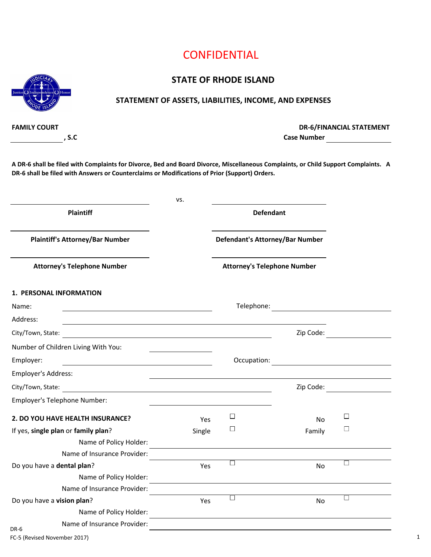### **STATE OF RHODE ISLAND**



#### **STATEMENT OF ASSETS, LIABILITIES, INCOME, AND EXPENSES**

**FAMILY COURT**

**, S.C Case Number DR-6/FINANCIAL STATEMENT**

**A DR-6 shall be filed with Complaints for Divorce, Bed and Board Divorce, Miscellaneous Complaints, or Child Support Complaints. A DR-6 shall be filed with Answers or Counterclaims or Modifications of Prior (Support) Orders.**

|                                                                                                                                           | VS.    |                                    |           |                                                                                                                                                                                                                                |
|-------------------------------------------------------------------------------------------------------------------------------------------|--------|------------------------------------|-----------|--------------------------------------------------------------------------------------------------------------------------------------------------------------------------------------------------------------------------------|
| <b>Plaintiff</b>                                                                                                                          |        | <b>Defendant</b>                   |           |                                                                                                                                                                                                                                |
| <b>Plaintiff's Attorney/Bar Number</b>                                                                                                    |        | Defendant's Attorney/Bar Number    |           |                                                                                                                                                                                                                                |
| <b>Attorney's Telephone Number</b>                                                                                                        |        | <b>Attorney's Telephone Number</b> |           |                                                                                                                                                                                                                                |
| 1. PERSONAL INFORMATION                                                                                                                   |        |                                    |           |                                                                                                                                                                                                                                |
| Name:<br><u> 1989 - Johann Barbara, martin amerikan basar da</u>                                                                          |        |                                    |           |                                                                                                                                                                                                                                |
| Address:                                                                                                                                  |        |                                    |           |                                                                                                                                                                                                                                |
| City/Town, State:<br><u> 1980 - Jan Barat, martin amerikan basar dan berasal dalam basar dalam basar dalam basar dalam basar dalam ba</u> |        |                                    |           | Zip Code:                                                                                                                                                                                                                      |
| Number of Children Living With You:                                                                                                       |        |                                    |           |                                                                                                                                                                                                                                |
| Employer:                                                                                                                                 |        |                                    |           |                                                                                                                                                                                                                                |
| Employer's Address:                                                                                                                       |        |                                    |           |                                                                                                                                                                                                                                |
| City/Town, State:<br><u> 1980 - Jan Samuel Barbara, margaret e</u>                                                                        |        |                                    |           | Zip Code: The Code of the Code of the Code of the Code of the Code of the Code of the Code of the Code of the Code of the Code of the Code of the Code of the Code of the Code of the Code of the Code of the Code of the Code |
| Employer's Telephone Number:                                                                                                              |        |                                    |           |                                                                                                                                                                                                                                |
| 2. DO YOU HAVE HEALTH INSURANCE?                                                                                                          | Yes    | $\Box$                             | <b>No</b> | $\Box$                                                                                                                                                                                                                         |
| If yes, single plan or family plan?                                                                                                       | Single | $\Box$                             | Family    | $\Box$                                                                                                                                                                                                                         |
| Name of Policy Holder:                                                                                                                    |        |                                    |           |                                                                                                                                                                                                                                |
| Name of Insurance Provider:                                                                                                               |        |                                    |           |                                                                                                                                                                                                                                |
| Do you have a dental plan?                                                                                                                | Yes    | $\Box$                             | <b>No</b> | $\Box$                                                                                                                                                                                                                         |
| Name of Policy Holder:                                                                                                                    |        |                                    |           |                                                                                                                                                                                                                                |
| Name of Insurance Provider:                                                                                                               |        |                                    |           |                                                                                                                                                                                                                                |
| Do you have a vision plan?                                                                                                                | Yes    | $\Box$                             | No        | $\Box$                                                                                                                                                                                                                         |
| Name of Policy Holder:                                                                                                                    |        |                                    |           |                                                                                                                                                                                                                                |
| Name of Insurance Provider:<br>DR-6                                                                                                       |        |                                    |           |                                                                                                                                                                                                                                |
| FC-5 (Revised November 2017)                                                                                                              |        |                                    |           |                                                                                                                                                                                                                                |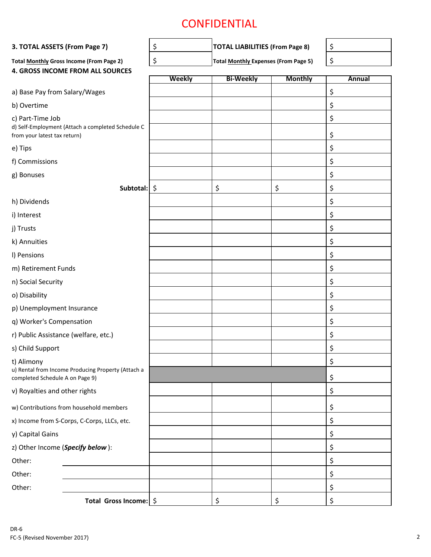| 3. TOTAL ASSETS (From Page 7)                    |                                                    | \$     | <b>TOTAL LIABILITIES (From Page 8)</b>      |                | \$       |
|--------------------------------------------------|----------------------------------------------------|--------|---------------------------------------------|----------------|----------|
|                                                  | <b>Total Monthly Gross Income (From Page 2)</b>    | \$     | <b>Total Monthly Expenses (From Page 5)</b> |                | \$       |
|                                                  | 4. GROSS INCOME FROM ALL SOURCES                   |        |                                             |                |          |
|                                                  |                                                    | Weekly | <b>Bi-Weekly</b>                            | <b>Monthly</b> | Annual   |
| a) Base Pay from Salary/Wages                    |                                                    |        |                                             |                | \$       |
| b) Overtime                                      |                                                    |        |                                             |                | \$       |
| c) Part-Time Job<br>from your latest tax return) | d) Self-Employment (Attach a completed Schedule C  |        |                                             |                | \$<br>\$ |
| e) Tips                                          |                                                    |        |                                             |                | \$       |
| f) Commissions                                   |                                                    |        |                                             |                | \$       |
| g) Bonuses                                       |                                                    |        |                                             |                | \$       |
|                                                  | Subtotal: \$                                       |        | \$                                          | \$             | \$       |
| h) Dividends                                     |                                                    |        |                                             |                | \$       |
| i) Interest                                      |                                                    |        |                                             |                | \$       |
| j) Trusts                                        |                                                    |        |                                             |                | \$       |
| k) Annuities                                     |                                                    |        |                                             |                | \$       |
| I) Pensions                                      |                                                    |        |                                             |                | \$       |
| m) Retirement Funds                              |                                                    |        |                                             |                | \$       |
| n) Social Security                               |                                                    |        |                                             |                | \$       |
| o) Disability                                    |                                                    |        |                                             |                | \$       |
| p) Unemployment Insurance                        |                                                    |        |                                             |                | \$       |
| q) Worker's Compensation                         |                                                    |        |                                             |                | \$       |
| r) Public Assistance (welfare, etc.)             |                                                    |        |                                             |                | \$       |
| s) Child Support                                 |                                                    |        |                                             |                | \$       |
| t) Alimony                                       |                                                    |        |                                             |                | \$       |
| completed Schedule A on Page 9)                  | u) Rental from Income Producing Property (Attach a |        |                                             |                | \$       |
| v) Royalties and other rights                    |                                                    |        |                                             |                | \$       |
|                                                  | w) Contributions from household members            |        |                                             |                | \$       |
|                                                  | x) Income from S-Corps, C-Corps, LLCs, etc.        |        |                                             |                | \$       |
| y) Capital Gains                                 |                                                    |        |                                             |                | \$       |
| z) Other Income (Specify below):                 |                                                    |        |                                             |                | \$       |
| Other:                                           |                                                    |        |                                             |                | \$       |
| Other:                                           |                                                    |        |                                             |                | \$       |
| Other:                                           |                                                    |        |                                             |                | \$       |
|                                                  | Total Gross Income: \$                             |        | \$                                          | \$             | \$       |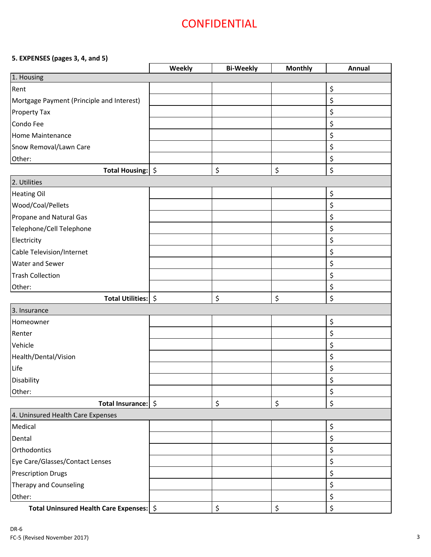#### **5. EXPENSES (pages 3, 4, and 5)**

|                                            | Weekly | <b>Bi-Weekly</b> | <b>Monthly</b> | Annual |
|--------------------------------------------|--------|------------------|----------------|--------|
| 1. Housing                                 |        |                  |                |        |
| Rent                                       |        |                  |                | \$     |
| Mortgage Payment (Principle and Interest)  |        |                  |                | \$     |
| <b>Property Tax</b>                        |        |                  |                | \$     |
| Condo Fee                                  |        |                  |                | \$     |
| <b>Home Maintenance</b>                    |        |                  |                | \$     |
| Snow Removal/Lawn Care                     |        |                  |                | \$     |
| Other:                                     |        |                  |                | \$     |
| Total Housing:   \$                        |        | \$               | \$             | \$     |
| 2. Utilities                               |        |                  |                |        |
| <b>Heating Oil</b>                         |        |                  |                | \$     |
| Wood/Coal/Pellets                          |        |                  |                | \$     |
| Propane and Natural Gas                    |        |                  |                | \$     |
| Telephone/Cell Telephone                   |        |                  |                | \$     |
| Electricity                                |        |                  |                | \$     |
| Cable Television/Internet                  |        |                  |                | \$     |
| Water and Sewer                            |        |                  |                | \$     |
| <b>Trash Collection</b>                    |        |                  |                | \$     |
| Other:                                     |        |                  |                | \$     |
| Total Utilities: \$                        |        | \$               | \$             | \$     |
| 3. Insurance                               |        |                  |                |        |
| Homeowner                                  |        |                  |                | \$     |
| Renter                                     |        |                  |                | \$     |
| Vehicle                                    |        |                  |                | \$     |
| Health/Dental/Vision                       |        |                  |                | \$     |
| Life                                       |        |                  |                | \$     |
| Disability                                 |        |                  |                | Ā<br>Ş |
| Other:                                     |        |                  |                | \$     |
| Total Insurance: \$                        |        | \$               | \$             | \$     |
| 4. Uninsured Health Care Expenses          |        |                  |                |        |
| Medical                                    |        |                  |                | \$     |
| Dental                                     |        |                  |                | \$     |
| Orthodontics                               |        |                  |                | \$     |
| Eye Care/Glasses/Contact Lenses            |        |                  |                | \$     |
| <b>Prescription Drugs</b>                  |        |                  |                | \$     |
| Therapy and Counseling                     |        |                  |                | \$     |
| Other:                                     |        |                  |                | \$     |
| Total Uninsured Health Care Expenses:   \$ |        | \$               | \$             | \$     |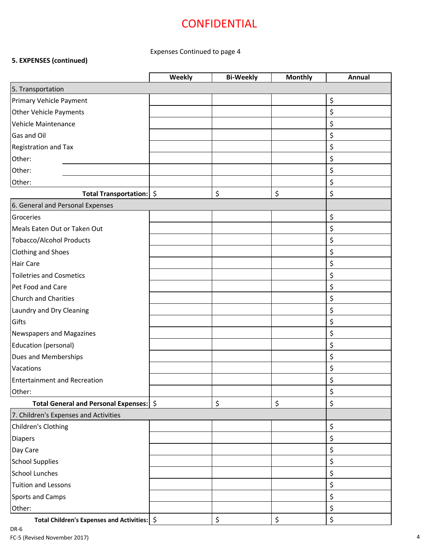### Expenses Continued to page 4

### **5. EXPENSES (continued)**

|                                                | Weekly | <b>Bi-Weekly</b> | <b>Monthly</b> | Annual |
|------------------------------------------------|--------|------------------|----------------|--------|
| 5. Transportation                              |        |                  |                |        |
| Primary Vehicle Payment                        |        |                  |                | \$     |
| <b>Other Vehicle Payments</b>                  |        |                  |                | \$     |
| Vehicle Maintenance                            |        |                  |                | \$     |
| <b>Gas and Oil</b>                             |        |                  |                | \$     |
| Registration and Tax                           |        |                  |                | \$     |
| Other:                                         |        |                  |                | \$     |
| Other:                                         |        |                  |                | \$     |
| Other:                                         |        |                  |                | \$     |
| Total Transportation:   \$                     |        | \$               | \$             | \$     |
| 6. General and Personal Expenses               |        |                  |                |        |
| Groceries                                      |        |                  |                | \$     |
| Meals Eaten Out or Taken Out                   |        |                  |                | \$     |
| <b>Tobacco/Alcohol Products</b>                |        |                  |                | \$     |
| <b>Clothing and Shoes</b>                      |        |                  |                | \$     |
| <b>Hair Care</b>                               |        |                  |                | \$     |
| <b>Toiletries and Cosmetics</b>                |        |                  |                | \$     |
| Pet Food and Care                              |        |                  |                | \$     |
| <b>Church and Charities</b>                    |        |                  |                | \$     |
| Laundry and Dry Cleaning                       |        |                  |                | \$     |
| Gifts                                          |        |                  |                | \$     |
| <b>Newspapers and Magazines</b>                |        |                  |                | \$     |
| Education (personal)                           |        |                  |                | \$     |
| Dues and Memberships                           |        |                  |                | \$     |
| Vacations                                      |        |                  |                | \$     |
| <b>Entertainment and Recreation</b>            |        |                  |                | \$     |
| Other:                                         |        |                  |                | \$     |
| Total General and Personal Expenses:   \$      |        | \$               | \$             | \$     |
| 7. Children's Expenses and Activities          |        |                  |                |        |
| Children's Clothing                            |        |                  |                | \$     |
| <b>Diapers</b>                                 |        |                  |                | \$     |
| Day Care                                       |        |                  |                | \$     |
| <b>School Supplies</b>                         |        |                  |                | \$     |
| <b>School Lunches</b>                          |        |                  |                | \$     |
| <b>Tuition and Lessons</b>                     |        |                  |                | \$     |
| <b>Sports and Camps</b>                        |        |                  |                | \$     |
| Other:                                         |        |                  |                | \$     |
| Total Children's Expenses and Activities:   \$ |        | \$               | \$             | \$     |

DR-6 FC-5 (Revised November 2017) 4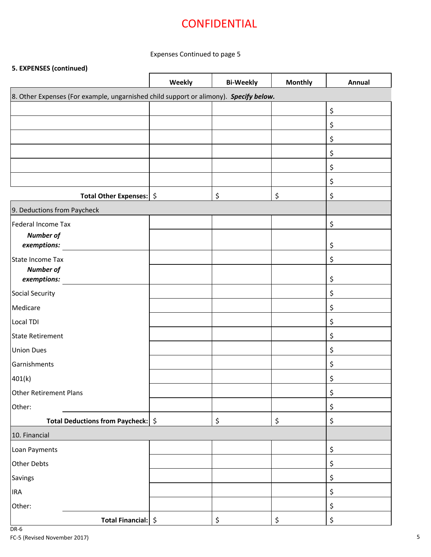### Expenses Continued to page 5

### **5. EXPENSES (continued)**

|                                                                                       | Weekly | <b>Bi-Weekly</b> | <b>Monthly</b> | Annual |
|---------------------------------------------------------------------------------------|--------|------------------|----------------|--------|
| 8. Other Expenses (For example, ungarnished child support or alimony). Specify below. |        |                  |                |        |
|                                                                                       |        |                  |                | \$     |
|                                                                                       |        |                  |                | \$     |
|                                                                                       |        |                  |                | \$     |
|                                                                                       |        |                  |                | \$     |
|                                                                                       |        |                  |                | \$     |
|                                                                                       |        |                  |                | \$     |
| Total Other Expenses:   \$                                                            |        | \$               | \$             | \$     |
| 9. Deductions from Paycheck                                                           |        |                  |                |        |
| <b>Federal Income Tax</b>                                                             |        |                  |                | \$     |
| <b>Number of</b>                                                                      |        |                  |                |        |
| exemptions:                                                                           |        |                  |                | \$     |
| State Income Tax<br><b>Number of</b>                                                  |        |                  |                | \$     |
| exemptions:                                                                           |        |                  |                | \$     |
| Social Security                                                                       |        |                  |                | \$     |
| Medicare                                                                              |        |                  |                | \$     |
| Local TDI                                                                             |        |                  |                | \$     |
| State Retirement                                                                      |        |                  |                | \$     |
| <b>Union Dues</b>                                                                     |        |                  |                | \$     |
| Garnishments                                                                          |        |                  |                | \$     |
| 401(k)                                                                                |        |                  |                | \$     |
| <b>Other Retirement Plans</b>                                                         |        |                  |                | \$     |
| Other:                                                                                |        |                  |                | \$     |
| Total Deductions from Paycheck:   \$                                                  |        | \$               | \$             | \$     |
| 10. Financial                                                                         |        |                  |                |        |
| Loan Payments                                                                         |        |                  |                | \$     |
| Other Debts                                                                           |        |                  |                | \$     |
| Savings                                                                               |        |                  |                | \$     |
| <b>IRA</b>                                                                            |        |                  |                | \$     |
| Other:                                                                                |        |                  |                | \$     |
| Total Financial: \$                                                                   |        | \$               | \$             | \$     |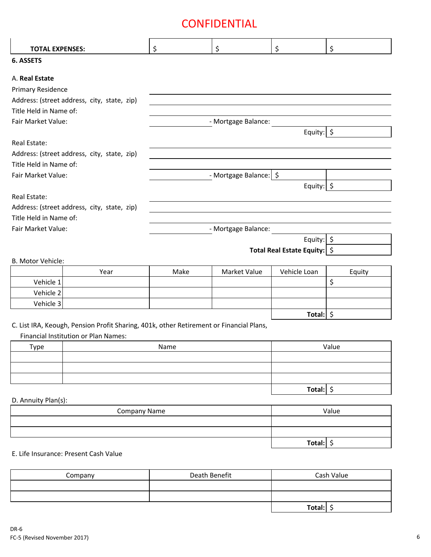| <b>TOTAL EXPENSES:</b> |                                                                                         | \$                  | \$                       | \$                             | \$     |
|------------------------|-----------------------------------------------------------------------------------------|---------------------|--------------------------|--------------------------------|--------|
| 6. ASSETS              |                                                                                         |                     |                          |                                |        |
|                        |                                                                                         |                     |                          |                                |        |
| A. Real Estate         |                                                                                         |                     |                          |                                |        |
| Primary Residence      |                                                                                         |                     |                          |                                |        |
|                        | Address: (street address, city, state, zip)                                             |                     |                          |                                |        |
| Title Held in Name of: |                                                                                         |                     |                          |                                |        |
| Fair Market Value:     |                                                                                         |                     | - Mortgage Balance:      |                                |        |
|                        |                                                                                         |                     |                          | Equity: $\frac{1}{5}$          |        |
| Real Estate:           |                                                                                         |                     |                          |                                |        |
|                        | Address: (street address, city, state, zip)                                             |                     |                          |                                |        |
| Title Held in Name of: |                                                                                         |                     |                          |                                |        |
| Fair Market Value:     |                                                                                         |                     | - Mortgage Balance:   \$ |                                |        |
|                        |                                                                                         |                     |                          | Equity: \$                     |        |
| Real Estate:           |                                                                                         |                     |                          |                                |        |
|                        | Address: (street address, city, state, zip)                                             |                     |                          |                                |        |
| Title Held in Name of: |                                                                                         |                     |                          |                                |        |
| Fair Market Value:     |                                                                                         | - Mortgage Balance: |                          |                                |        |
|                        |                                                                                         |                     |                          | Equity: \$                     |        |
|                        |                                                                                         |                     |                          | Total Real Estate Equity:   \$ |        |
| B. Motor Vehicle:      |                                                                                         |                     |                          |                                |        |
|                        | Year                                                                                    | Make                | Market Value             | Vehicle Loan                   | Equity |
| Vehicle 1              |                                                                                         |                     |                          |                                | \$     |
| Vehicle 2              |                                                                                         |                     |                          |                                |        |
| Vehicle 3              |                                                                                         |                     |                          |                                |        |
|                        |                                                                                         |                     |                          | Total: $\frac{1}{2}$           |        |
|                        | C. List IRA, Keough, Pension Profit Sharing, 401k, other Retirement or Financial Plans, |                     |                          |                                |        |
|                        | Financial Institution or Plan Names:                                                    |                     |                          |                                |        |
| Type                   |                                                                                         | Name                |                          |                                | Value  |
|                        |                                                                                         |                     |                          |                                |        |
|                        |                                                                                         |                     |                          |                                |        |
|                        |                                                                                         |                     |                          |                                |        |
|                        |                                                                                         |                     |                          | Total: \$                      |        |
| D. Annuity Plan(s):    |                                                                                         |                     |                          |                                |        |
|                        | <b>Company Name</b>                                                                     |                     |                          |                                | Value  |
|                        |                                                                                         |                     |                          |                                |        |
|                        |                                                                                         |                     |                          |                                |        |
|                        |                                                                                         |                     |                          | Total: $\oint$                 |        |
|                        | E. Life Insurance: Present Cash Value                                                   |                     |                          |                                |        |
|                        |                                                                                         |                     |                          |                                |        |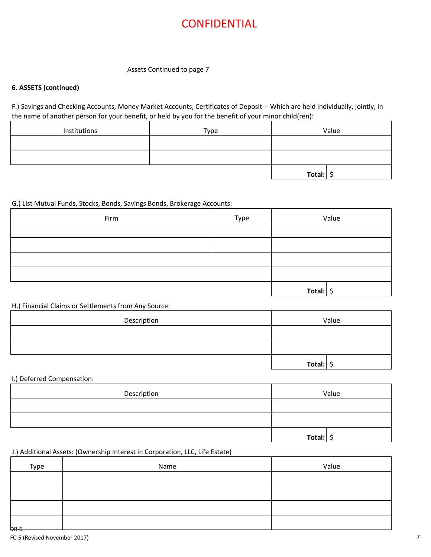#### Assets Continued to page 7

#### **6. ASSETS (continued)**

F.) Savings and Checking Accounts, Money Market Accounts, Certificates of Deposit -- Which are held individually, jointly, in the name of another person for your benefit, or held by you for the benefit of your minor child(ren):

| Institutions | Type |        | Value |
|--------------|------|--------|-------|
|              |      |        |       |
|              |      |        |       |
|              |      | Total: |       |

#### G.) List Mutual Funds, Stocks, Bonds, Savings Bonds, Brokerage Accounts:

| Firm | Type |           | Value |
|------|------|-----------|-------|
|      |      |           |       |
|      |      |           |       |
|      |      |           |       |
|      |      |           |       |
|      |      | Total: \$ |       |

#### H.) Financial Claims or Settlements from Any Source:

| Description | Value  |
|-------------|--------|
|             |        |
|             |        |
|             | Total: |

#### I.) Deferred Compensation:

| Description |        | Value |
|-------------|--------|-------|
|             |        |       |
|             |        |       |
|             | Total: |       |

#### J.) Additional Assets: (Ownership Interest in Corporation, LLC, Life Estate)

| Type        | Name | Value |
|-------------|------|-------|
|             |      |       |
|             |      |       |
|             |      |       |
| <b>DR 6</b> |      |       |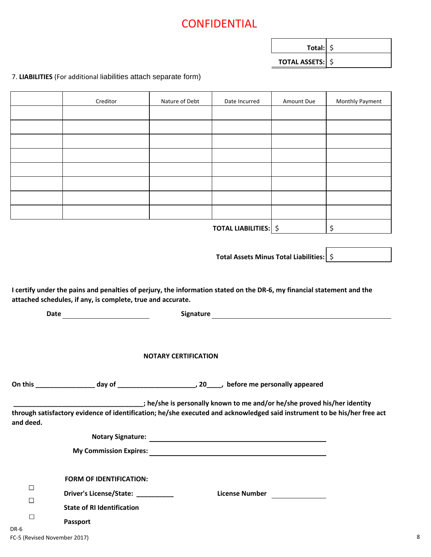| Total: $\frac{1}{2}$    |  |
|-------------------------|--|
| <b>TOTAL ASSETS: \$</b> |  |

### 7. **LIABILITIES** (For additional liabilities attach separate form)

|                                                                                                                                                                                       | Creditor                                                                                                                 | Nature of Debt              | Date Incurred                                                           | Amount Due | Monthly Payment |  |  |  |  |  |
|---------------------------------------------------------------------------------------------------------------------------------------------------------------------------------------|--------------------------------------------------------------------------------------------------------------------------|-----------------------------|-------------------------------------------------------------------------|------------|-----------------|--|--|--|--|--|
|                                                                                                                                                                                       |                                                                                                                          |                             |                                                                         |            |                 |  |  |  |  |  |
|                                                                                                                                                                                       |                                                                                                                          |                             |                                                                         |            |                 |  |  |  |  |  |
|                                                                                                                                                                                       |                                                                                                                          |                             |                                                                         |            |                 |  |  |  |  |  |
|                                                                                                                                                                                       |                                                                                                                          |                             |                                                                         |            |                 |  |  |  |  |  |
|                                                                                                                                                                                       |                                                                                                                          |                             |                                                                         |            |                 |  |  |  |  |  |
|                                                                                                                                                                                       |                                                                                                                          |                             |                                                                         |            |                 |  |  |  |  |  |
|                                                                                                                                                                                       |                                                                                                                          |                             |                                                                         |            |                 |  |  |  |  |  |
|                                                                                                                                                                                       |                                                                                                                          |                             |                                                                         |            |                 |  |  |  |  |  |
|                                                                                                                                                                                       |                                                                                                                          |                             | <b>TOTAL LIABILITIES:</b>   \$                                          |            | \$              |  |  |  |  |  |
|                                                                                                                                                                                       |                                                                                                                          |                             |                                                                         |            |                 |  |  |  |  |  |
|                                                                                                                                                                                       | Total Assets Minus Total Liabilities:   \$                                                                               |                             |                                                                         |            |                 |  |  |  |  |  |
|                                                                                                                                                                                       |                                                                                                                          |                             |                                                                         |            |                 |  |  |  |  |  |
| I certify under the pains and penalties of perjury, the information stated on the DR-6, my financial statement and the<br>attached schedules, if any, is complete, true and accurate. |                                                                                                                          |                             |                                                                         |            |                 |  |  |  |  |  |
| Signature <u>contained and the set of the set of the set of the set of the set of the set of the set of the set o</u>                                                                 |                                                                                                                          |                             |                                                                         |            |                 |  |  |  |  |  |
|                                                                                                                                                                                       |                                                                                                                          |                             |                                                                         |            |                 |  |  |  |  |  |
|                                                                                                                                                                                       |                                                                                                                          |                             |                                                                         |            |                 |  |  |  |  |  |
|                                                                                                                                                                                       |                                                                                                                          | <b>NOTARY CERTIFICATION</b> |                                                                         |            |                 |  |  |  |  |  |
|                                                                                                                                                                                       |                                                                                                                          |                             |                                                                         |            |                 |  |  |  |  |  |
|                                                                                                                                                                                       |                                                                                                                          |                             |                                                                         |            |                 |  |  |  |  |  |
|                                                                                                                                                                                       | through satisfactory evidence of identification; he/she executed and acknowledged said instrument to be his/her free act |                             | the/she is personally known to me and/or he/she proved his/her identity |            |                 |  |  |  |  |  |
| and deed.                                                                                                                                                                             |                                                                                                                          |                             |                                                                         |            |                 |  |  |  |  |  |
|                                                                                                                                                                                       |                                                                                                                          |                             |                                                                         |            |                 |  |  |  |  |  |
|                                                                                                                                                                                       |                                                                                                                          |                             |                                                                         |            |                 |  |  |  |  |  |
|                                                                                                                                                                                       |                                                                                                                          |                             |                                                                         |            |                 |  |  |  |  |  |
|                                                                                                                                                                                       | <b>FORM OF IDENTIFICATION:</b>                                                                                           |                             |                                                                         |            |                 |  |  |  |  |  |
| $\Box$                                                                                                                                                                                | Driver's License/State: __________                                                                                       |                             | License Number ________________                                         |            |                 |  |  |  |  |  |
| $\Box$                                                                                                                                                                                | <b>State of RI Identification</b>                                                                                        |                             |                                                                         |            |                 |  |  |  |  |  |
| □                                                                                                                                                                                     | Passport                                                                                                                 |                             |                                                                         |            |                 |  |  |  |  |  |
| DR-6                                                                                                                                                                                  |                                                                                                                          |                             |                                                                         |            |                 |  |  |  |  |  |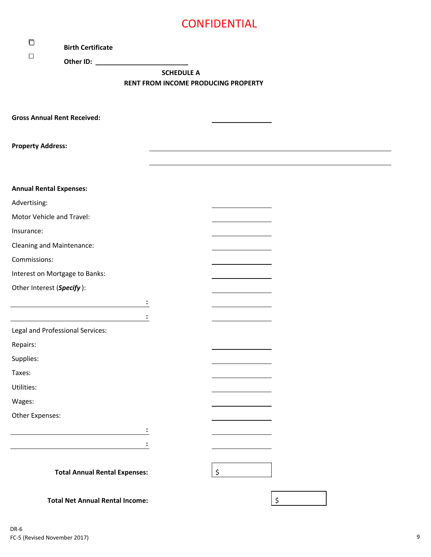| □                              | <b>Birth Certificate</b>               |                                                                                                                 |                   |    |  |
|--------------------------------|----------------------------------------|-----------------------------------------------------------------------------------------------------------------|-------------------|----|--|
| □                              |                                        | Other ID: New York District Product Product Product Product Product Product Product Product Product Product Pro |                   |    |  |
|                                |                                        |                                                                                                                 | <b>SCHEDULE A</b> |    |  |
|                                |                                        | <b>RENT FROM INCOME PRODUCING PROPERTY</b>                                                                      |                   |    |  |
|                                |                                        |                                                                                                                 |                   |    |  |
|                                | <b>Gross Annual Rent Received:</b>     |                                                                                                                 |                   |    |  |
|                                |                                        |                                                                                                                 |                   |    |  |
| <b>Property Address:</b>       |                                        |                                                                                                                 |                   |    |  |
|                                |                                        |                                                                                                                 |                   |    |  |
|                                |                                        |                                                                                                                 |                   |    |  |
| <b>Annual Rental Expenses:</b> |                                        |                                                                                                                 |                   |    |  |
| Advertising:                   |                                        |                                                                                                                 |                   |    |  |
|                                | Motor Vehicle and Travel:              |                                                                                                                 |                   |    |  |
| Insurance:                     |                                        |                                                                                                                 |                   |    |  |
| Cleaning and Maintenance:      |                                        |                                                                                                                 |                   |    |  |
| Commissions:                   |                                        |                                                                                                                 |                   |    |  |
|                                | Interest on Mortgage to Banks:         |                                                                                                                 |                   |    |  |
| Other Interest (Specify):      |                                        |                                                                                                                 |                   |    |  |
|                                |                                        |                                                                                                                 |                   |    |  |
|                                |                                        |                                                                                                                 |                   |    |  |
|                                | Legal and Professional Services:       |                                                                                                                 |                   |    |  |
| Repairs:                       |                                        |                                                                                                                 |                   |    |  |
| Supplies:                      |                                        |                                                                                                                 |                   |    |  |
| Taxes:                         |                                        |                                                                                                                 |                   |    |  |
| Utilities:                     |                                        |                                                                                                                 |                   |    |  |
| Wages:                         |                                        |                                                                                                                 |                   |    |  |
| Other Expenses:                |                                        |                                                                                                                 |                   |    |  |
|                                |                                        |                                                                                                                 |                   |    |  |
|                                |                                        |                                                                                                                 |                   |    |  |
|                                |                                        |                                                                                                                 |                   |    |  |
|                                | <b>Total Annual Rental Expenses:</b>   |                                                                                                                 |                   | \$ |  |
|                                |                                        |                                                                                                                 |                   |    |  |
|                                | <b>Total Net Annual Rental Income:</b> |                                                                                                                 |                   | \$ |  |